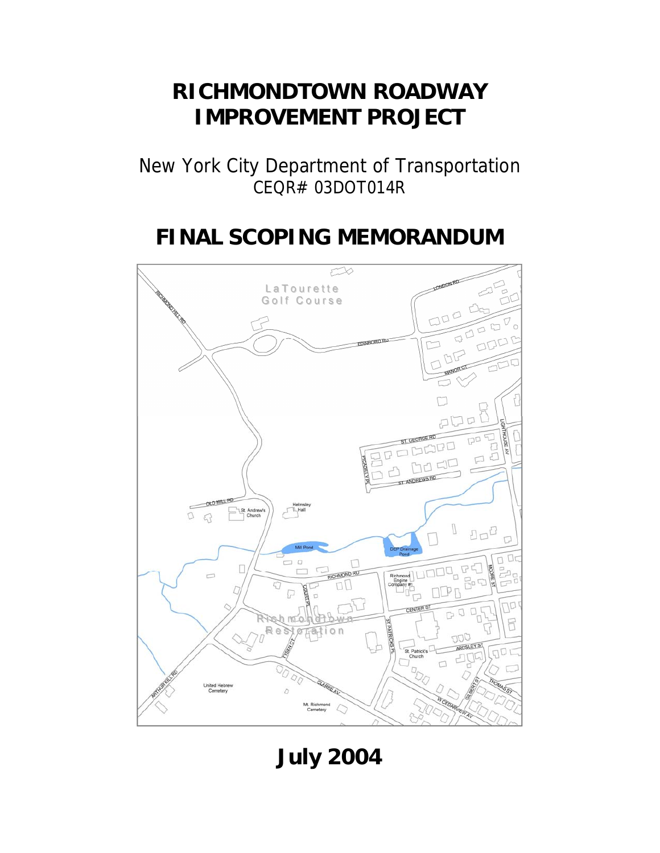# **RICHMONDTOWN ROADWAY IMPROVEMENT PROJECT**

New York City Department of Transportation CEQR# 03DOT014R

# **FINAL SCOPING MEMORANDUM**



**July 2004**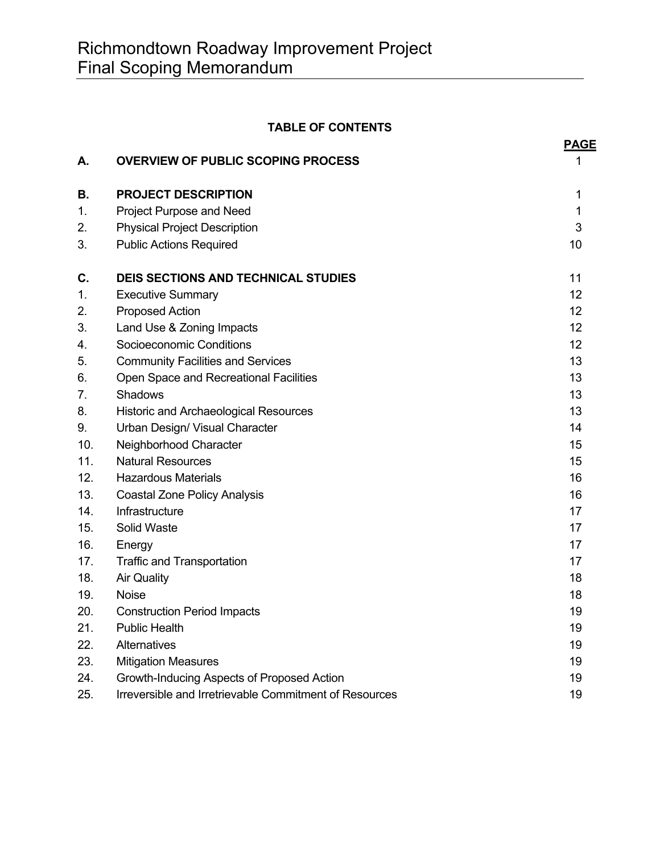# **TABLE OF CONTENTS**

|     |                                                        | <b>PAGE</b> |
|-----|--------------------------------------------------------|-------------|
| А.  | <b>OVERVIEW OF PUBLIC SCOPING PROCESS</b>              | 1           |
| В.  | <b>PROJECT DESCRIPTION</b>                             | 1           |
| 1.  | Project Purpose and Need                               | 1           |
| 2.  | <b>Physical Project Description</b>                    | 3           |
| 3.  | <b>Public Actions Required</b>                         | 10          |
| C.  | <b>DEIS SECTIONS AND TECHNICAL STUDIES</b>             | 11          |
| 1.  | <b>Executive Summary</b>                               | 12          |
| 2.  | <b>Proposed Action</b>                                 | 12          |
| 3.  | Land Use & Zoning Impacts                              | 12          |
| 4.  | Socioeconomic Conditions                               | 12          |
| 5.  | <b>Community Facilities and Services</b>               | 13          |
| 6.  | Open Space and Recreational Facilities                 | 13          |
| 7.  | Shadows                                                | 13          |
| 8.  | <b>Historic and Archaeological Resources</b>           | 13          |
| 9.  | Urban Design/ Visual Character                         | 14          |
| 10. | Neighborhood Character                                 | 15          |
| 11. | <b>Natural Resources</b>                               | 15          |
| 12. | <b>Hazardous Materials</b>                             | 16          |
| 13. | <b>Coastal Zone Policy Analysis</b>                    | 16          |
| 14. | Infrastructure                                         | 17          |
| 15. | Solid Waste                                            | 17          |
| 16. | Energy                                                 | 17          |
| 17. | <b>Traffic and Transportation</b>                      | 17          |
| 18. | <b>Air Quality</b>                                     | 18          |
| 19. | <b>Noise</b>                                           | 18          |
| 20. | <b>Construction Period Impacts</b>                     | 19          |
| 21. | <b>Public Health</b>                                   | 19          |
| 22. | Alternatives                                           | 19          |
| 23. | <b>Mitigation Measures</b>                             | 19          |
| 24. | Growth-Inducing Aspects of Proposed Action             | 19          |
| 25. | Irreversible and Irretrievable Commitment of Resources | 19          |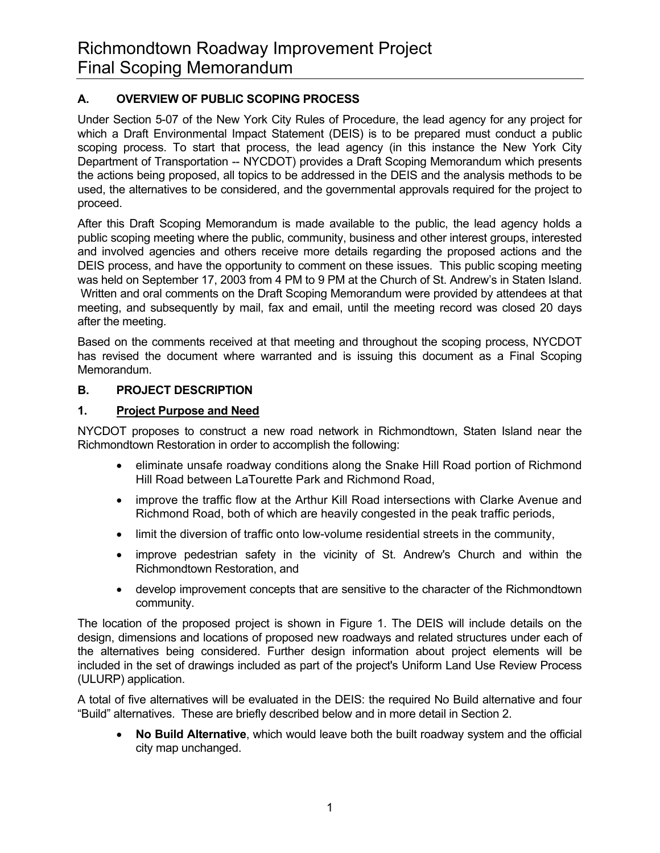# **A. OVERVIEW OF PUBLIC SCOPING PROCESS**

Under Section 5-07 of the New York City Rules of Procedure, the lead agency for any project for which a Draft Environmental Impact Statement (DEIS) is to be prepared must conduct a public scoping process. To start that process, the lead agency (in this instance the New York City Department of Transportation -- NYCDOT) provides a Draft Scoping Memorandum which presents the actions being proposed, all topics to be addressed in the DEIS and the analysis methods to be used, the alternatives to be considered, and the governmental approvals required for the project to proceed.

After this Draft Scoping Memorandum is made available to the public, the lead agency holds a public scoping meeting where the public, community, business and other interest groups, interested and involved agencies and others receive more details regarding the proposed actions and the DEIS process, and have the opportunity to comment on these issues. This public scoping meeting was held on September 17, 2003 from 4 PM to 9 PM at the Church of St. Andrew's in Staten Island. Written and oral comments on the Draft Scoping Memorandum were provided by attendees at that meeting, and subsequently by mail, fax and email, until the meeting record was closed 20 days after the meeting.

Based on the comments received at that meeting and throughout the scoping process, NYCDOT has revised the document where warranted and is issuing this document as a Final Scoping Memorandum.

## **B. PROJECT DESCRIPTION**

# **1. Project Purpose and Need**

NYCDOT proposes to construct a new road network in Richmondtown, Staten Island near the Richmondtown Restoration in order to accomplish the following:

- eliminate unsafe roadway conditions along the Snake Hill Road portion of Richmond Hill Road between LaTourette Park and Richmond Road,
- improve the traffic flow at the Arthur Kill Road intersections with Clarke Avenue and Richmond Road, both of which are heavily congested in the peak traffic periods,
- limit the diversion of traffic onto low-volume residential streets in the community,
- improve pedestrian safety in the vicinity of St. Andrew's Church and within the Richmondtown Restoration, and
- develop improvement concepts that are sensitive to the character of the Richmondtown community.

The location of the proposed project is shown in Figure 1. The DEIS will include details on the design, dimensions and locations of proposed new roadways and related structures under each of the alternatives being considered. Further design information about project elements will be included in the set of drawings included as part of the project's Uniform Land Use Review Process (ULURP) application.

A total of five alternatives will be evaluated in the DEIS: the required No Build alternative and four "Build" alternatives. These are briefly described below and in more detail in Section 2.

• **No Build Alternative**, which would leave both the built roadway system and the official city map unchanged.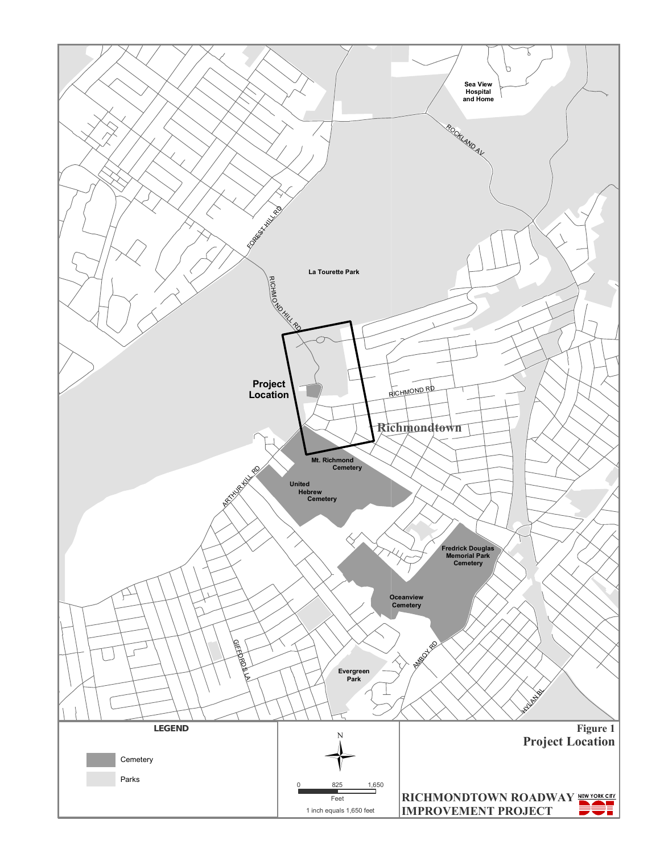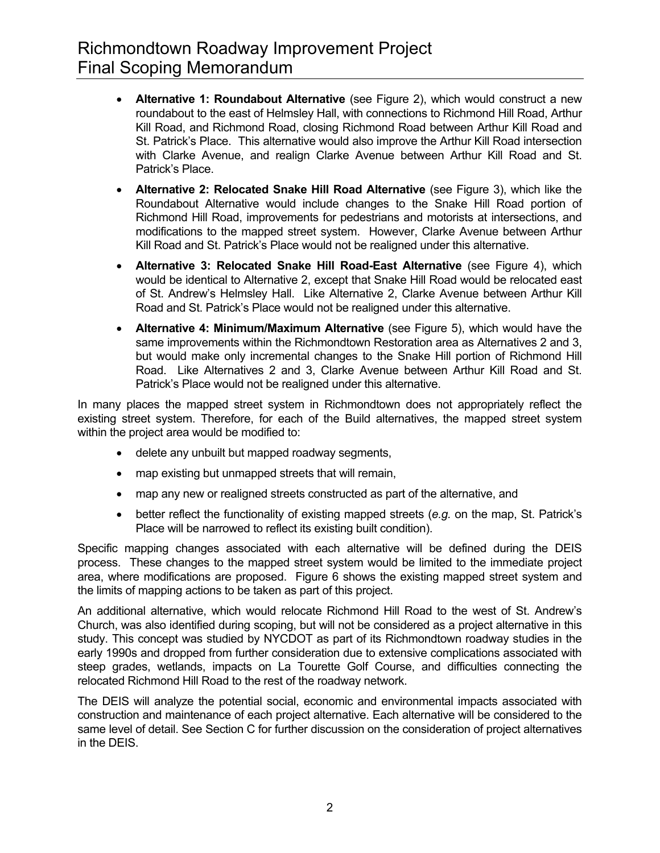- **Alternative 1: Roundabout Alternative** (see Figure 2), which would construct a new roundabout to the east of Helmsley Hall, with connections to Richmond Hill Road, Arthur Kill Road, and Richmond Road, closing Richmond Road between Arthur Kill Road and St. Patrick's Place. This alternative would also improve the Arthur Kill Road intersection with Clarke Avenue, and realign Clarke Avenue between Arthur Kill Road and St. Patrick's Place.
- **Alternative 2: Relocated Snake Hill Road Alternative** (see Figure 3), which like the Roundabout Alternative would include changes to the Snake Hill Road portion of Richmond Hill Road, improvements for pedestrians and motorists at intersections, and modifications to the mapped street system. However, Clarke Avenue between Arthur Kill Road and St. Patrick's Place would not be realigned under this alternative.
- **Alternative 3: Relocated Snake Hill Road-East Alternative** (see Figure 4), which would be identical to Alternative 2, except that Snake Hill Road would be relocated east of St. Andrew's Helmsley Hall. Like Alternative 2, Clarke Avenue between Arthur Kill Road and St. Patrick's Place would not be realigned under this alternative.
- **Alternative 4: Minimum/Maximum Alternative** (see Figure 5), which would have the same improvements within the Richmondtown Restoration area as Alternatives 2 and 3, but would make only incremental changes to the Snake Hill portion of Richmond Hill Road. Like Alternatives 2 and 3, Clarke Avenue between Arthur Kill Road and St. Patrick's Place would not be realigned under this alternative.

In many places the mapped street system in Richmondtown does not appropriately reflect the existing street system. Therefore, for each of the Build alternatives, the mapped street system within the project area would be modified to:

- delete any unbuilt but mapped roadway segments,
- map existing but unmapped streets that will remain,
- map any new or realigned streets constructed as part of the alternative, and
- better reflect the functionality of existing mapped streets (*e.g.* on the map, St. Patrick's Place will be narrowed to reflect its existing built condition).

Specific mapping changes associated with each alternative will be defined during the DEIS process. These changes to the mapped street system would be limited to the immediate project area, where modifications are proposed. Figure 6 shows the existing mapped street system and the limits of mapping actions to be taken as part of this project.

An additional alternative, which would relocate Richmond Hill Road to the west of St. Andrew's Church, was also identified during scoping, but will not be considered as a project alternative in this study. This concept was studied by NYCDOT as part of its Richmondtown roadway studies in the early 1990s and dropped from further consideration due to extensive complications associated with steep grades, wetlands, impacts on La Tourette Golf Course, and difficulties connecting the relocated Richmond Hill Road to the rest of the roadway network.

The DEIS will analyze the potential social, economic and environmental impacts associated with construction and maintenance of each project alternative. Each alternative will be considered to the same level of detail. See Section C for further discussion on the consideration of project alternatives in the DEIS.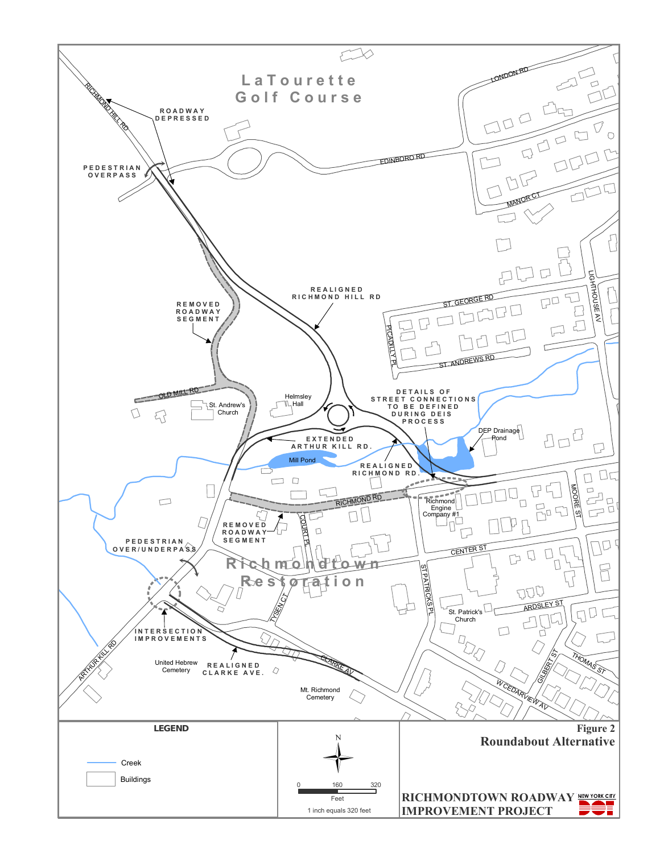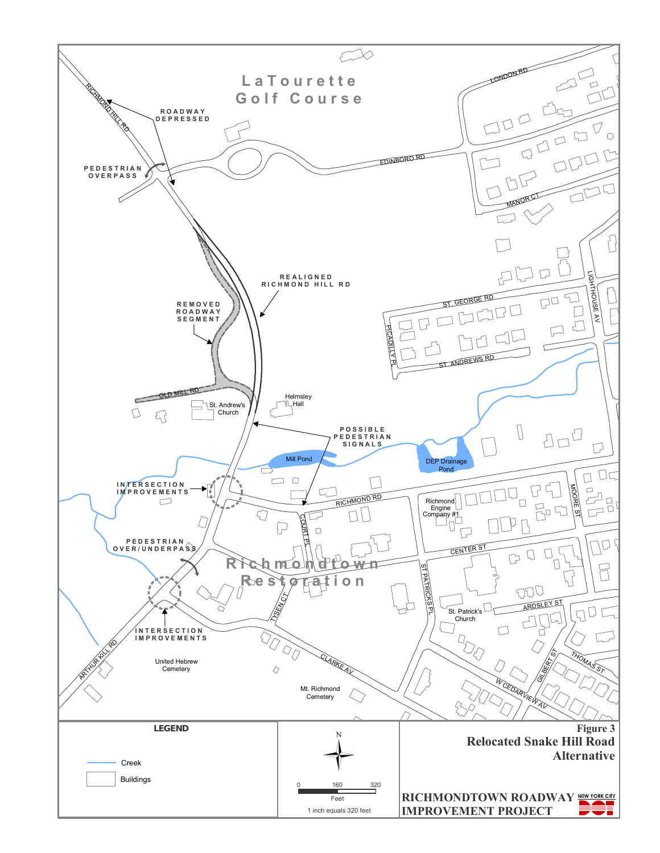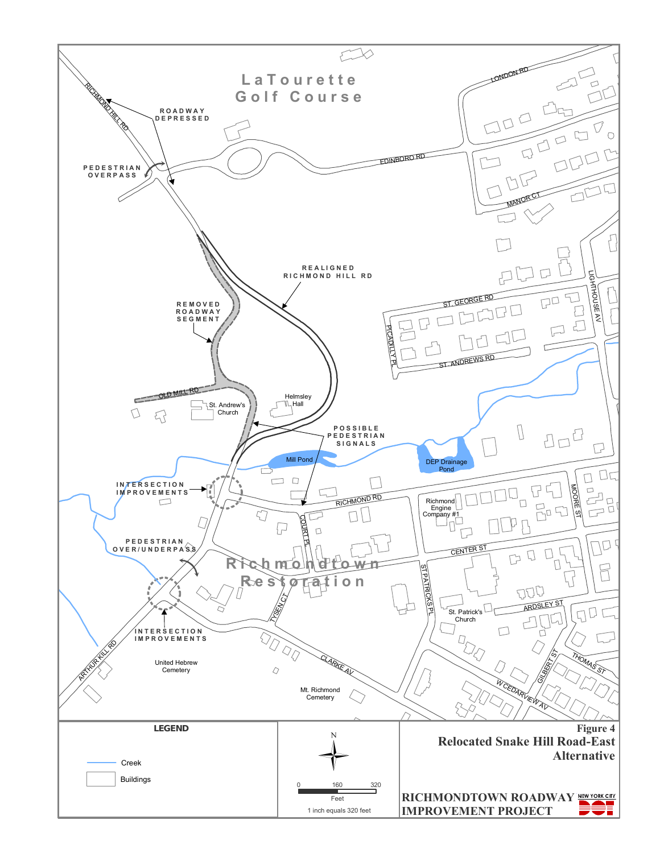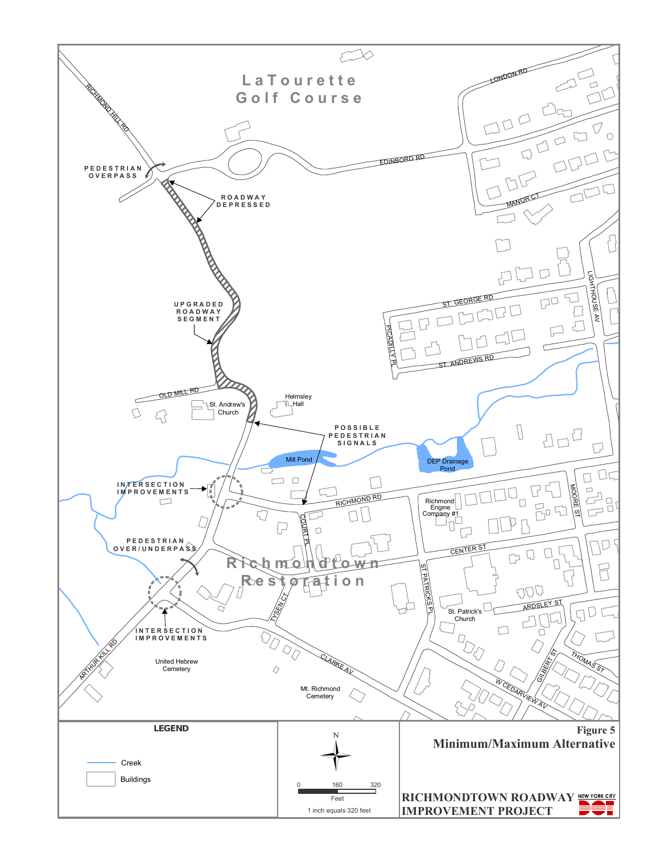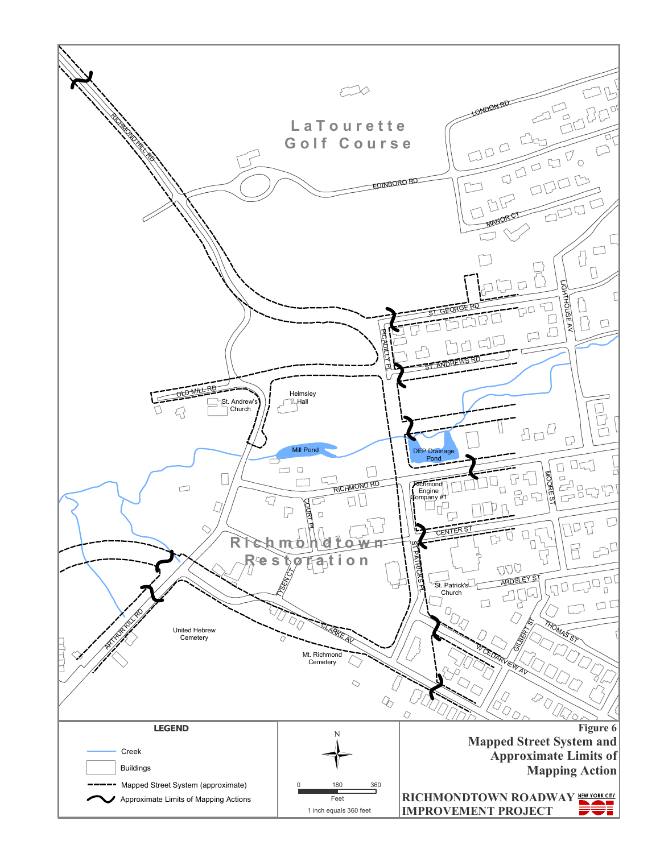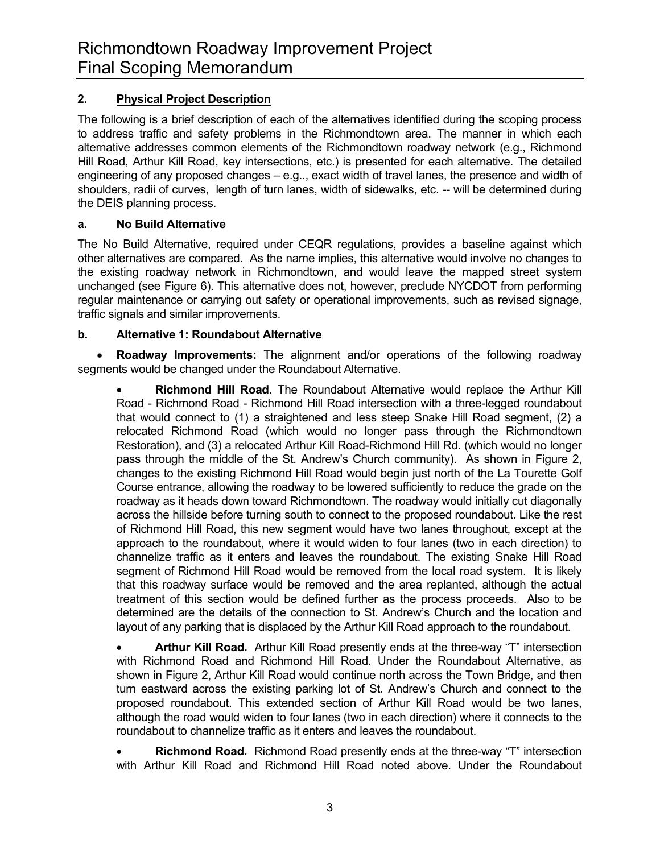# **2. Physical Project Description**

The following is a brief description of each of the alternatives identified during the scoping process to address traffic and safety problems in the Richmondtown area. The manner in which each alternative addresses common elements of the Richmondtown roadway network (e.g., Richmond Hill Road, Arthur Kill Road, key intersections, etc.) is presented for each alternative. The detailed engineering of any proposed changes – e.g.., exact width of travel lanes, the presence and width of shoulders, radii of curves, length of turn lanes, width of sidewalks, etc. -- will be determined during the DEIS planning process.

## **a. No Build Alternative**

The No Build Alternative, required under CEQR regulations, provides a baseline against which other alternatives are compared. As the name implies, this alternative would involve no changes to the existing roadway network in Richmondtown, and would leave the mapped street system unchanged (see Figure 6). This alternative does not, however, preclude NYCDOT from performing regular maintenance or carrying out safety or operational improvements, such as revised signage, traffic signals and similar improvements.

## **b. Alternative 1: Roundabout Alternative**

• **Roadway Improvements:** The alignment and/or operations of the following roadway segments would be changed under the Roundabout Alternative.

• **Richmond Hill Road**. The Roundabout Alternative would replace the Arthur Kill Road - Richmond Road - Richmond Hill Road intersection with a three-legged roundabout that would connect to (1) a straightened and less steep Snake Hill Road segment, (2) a relocated Richmond Road (which would no longer pass through the Richmondtown Restoration), and (3) a relocated Arthur Kill Road-Richmond Hill Rd. (which would no longer pass through the middle of the St. Andrew's Church community). As shown in Figure 2, changes to the existing Richmond Hill Road would begin just north of the La Tourette Golf Course entrance, allowing the roadway to be lowered sufficiently to reduce the grade on the roadway as it heads down toward Richmondtown. The roadway would initially cut diagonally across the hillside before turning south to connect to the proposed roundabout. Like the rest of Richmond Hill Road, this new segment would have two lanes throughout, except at the approach to the roundabout, where it would widen to four lanes (two in each direction) to channelize traffic as it enters and leaves the roundabout. The existing Snake Hill Road segment of Richmond Hill Road would be removed from the local road system. It is likely that this roadway surface would be removed and the area replanted, although the actual treatment of this section would be defined further as the process proceeds. Also to be determined are the details of the connection to St. Andrew's Church and the location and layout of any parking that is displaced by the Arthur Kill Road approach to the roundabout.

• **Arthur Kill Road.** Arthur Kill Road presently ends at the three-way "T" intersection with Richmond Road and Richmond Hill Road. Under the Roundabout Alternative, as shown in Figure 2, Arthur Kill Road would continue north across the Town Bridge, and then turn eastward across the existing parking lot of St. Andrew's Church and connect to the proposed roundabout. This extended section of Arthur Kill Road would be two lanes, although the road would widen to four lanes (two in each direction) where it connects to the roundabout to channelize traffic as it enters and leaves the roundabout.

• **Richmond Road.** Richmond Road presently ends at the three-way "T" intersection with Arthur Kill Road and Richmond Hill Road noted above. Under the Roundabout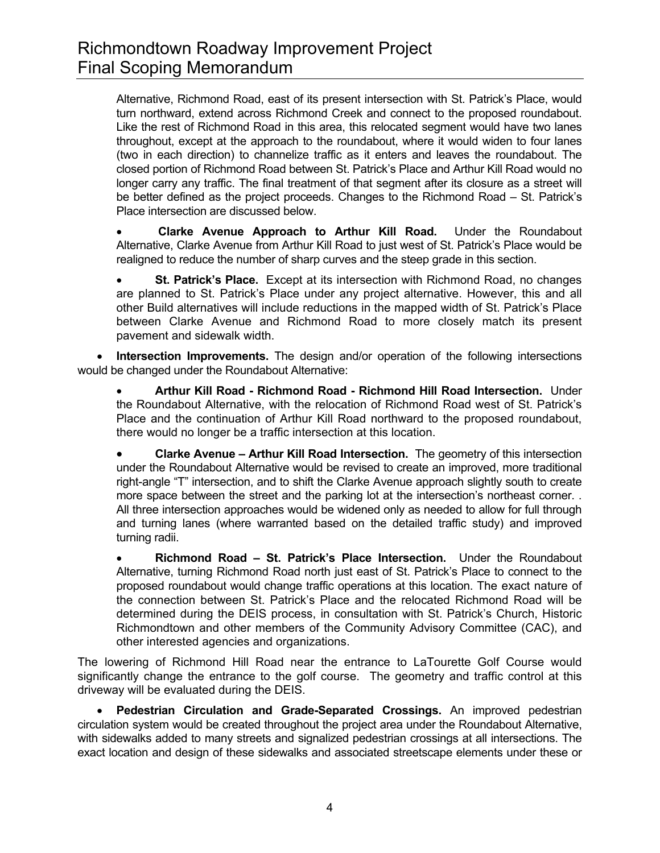Alternative, Richmond Road, east of its present intersection with St. Patrick's Place, would turn northward, extend across Richmond Creek and connect to the proposed roundabout. Like the rest of Richmond Road in this area, this relocated segment would have two lanes throughout, except at the approach to the roundabout, where it would widen to four lanes (two in each direction) to channelize traffic as it enters and leaves the roundabout. The closed portion of Richmond Road between St. Patrick's Place and Arthur Kill Road would no longer carry any traffic. The final treatment of that segment after its closure as a street will be better defined as the project proceeds. Changes to the Richmond Road – St. Patrick's Place intersection are discussed below.

• **Clarke Avenue Approach to Arthur Kill Road.** Under the Roundabout Alternative, Clarke Avenue from Arthur Kill Road to just west of St. Patrick's Place would be realigned to reduce the number of sharp curves and the steep grade in this section.

• **St. Patrick's Place.** Except at its intersection with Richmond Road, no changes are planned to St. Patrick's Place under any project alternative. However, this and all other Build alternatives will include reductions in the mapped width of St. Patrick's Place between Clarke Avenue and Richmond Road to more closely match its present pavement and sidewalk width.

• **Intersection Improvements.** The design and/or operation of the following intersections would be changed under the Roundabout Alternative:

• **Arthur Kill Road - Richmond Road - Richmond Hill Road Intersection.** Under the Roundabout Alternative, with the relocation of Richmond Road west of St. Patrick's Place and the continuation of Arthur Kill Road northward to the proposed roundabout, there would no longer be a traffic intersection at this location.

• **Clarke Avenue – Arthur Kill Road Intersection.** The geometry of this intersection under the Roundabout Alternative would be revised to create an improved, more traditional right-angle "T" intersection, and to shift the Clarke Avenue approach slightly south to create more space between the street and the parking lot at the intersection's northeast corner. . All three intersection approaches would be widened only as needed to allow for full through and turning lanes (where warranted based on the detailed traffic study) and improved turning radii.

• **Richmond Road – St. Patrick's Place Intersection.** Under the Roundabout Alternative, turning Richmond Road north just east of St. Patrick's Place to connect to the proposed roundabout would change traffic operations at this location. The exact nature of the connection between St. Patrick's Place and the relocated Richmond Road will be determined during the DEIS process, in consultation with St. Patrick's Church, Historic Richmondtown and other members of the Community Advisory Committee (CAC), and other interested agencies and organizations.

The lowering of Richmond Hill Road near the entrance to LaTourette Golf Course would significantly change the entrance to the golf course. The geometry and traffic control at this driveway will be evaluated during the DEIS.

• **Pedestrian Circulation and Grade-Separated Crossings.** An improved pedestrian circulation system would be created throughout the project area under the Roundabout Alternative, with sidewalks added to many streets and signalized pedestrian crossings at all intersections. The exact location and design of these sidewalks and associated streetscape elements under these or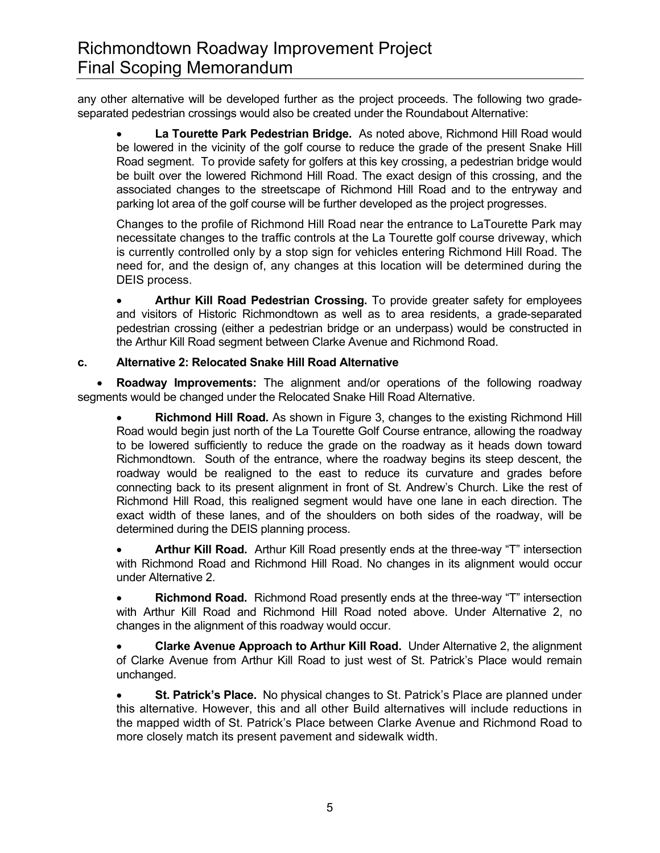any other alternative will be developed further as the project proceeds. The following two gradeseparated pedestrian crossings would also be created under the Roundabout Alternative:

• **La Tourette Park Pedestrian Bridge.** As noted above, Richmond Hill Road would be lowered in the vicinity of the golf course to reduce the grade of the present Snake Hill Road segment. To provide safety for golfers at this key crossing, a pedestrian bridge would be built over the lowered Richmond Hill Road. The exact design of this crossing, and the associated changes to the streetscape of Richmond Hill Road and to the entryway and parking lot area of the golf course will be further developed as the project progresses.

Changes to the profile of Richmond Hill Road near the entrance to LaTourette Park may necessitate changes to the traffic controls at the La Tourette golf course driveway, which is currently controlled only by a stop sign for vehicles entering Richmond Hill Road. The need for, and the design of, any changes at this location will be determined during the DEIS process.

• **Arthur Kill Road Pedestrian Crossing.** To provide greater safety for employees and visitors of Historic Richmondtown as well as to area residents, a grade-separated pedestrian crossing (either a pedestrian bridge or an underpass) would be constructed in the Arthur Kill Road segment between Clarke Avenue and Richmond Road.

## **c. Alternative 2: Relocated Snake Hill Road Alternative**

• **Roadway Improvements:** The alignment and/or operations of the following roadway segments would be changed under the Relocated Snake Hill Road Alternative.

• **Richmond Hill Road.** As shown in Figure 3, changes to the existing Richmond Hill Road would begin just north of the La Tourette Golf Course entrance, allowing the roadway to be lowered sufficiently to reduce the grade on the roadway as it heads down toward Richmondtown. South of the entrance, where the roadway begins its steep descent, the roadway would be realigned to the east to reduce its curvature and grades before connecting back to its present alignment in front of St. Andrew's Church. Like the rest of Richmond Hill Road, this realigned segment would have one lane in each direction. The exact width of these lanes, and of the shoulders on both sides of the roadway, will be determined during the DEIS planning process.

• **Arthur Kill Road.** Arthur Kill Road presently ends at the three-way "T" intersection with Richmond Road and Richmond Hill Road. No changes in its alignment would occur under Alternative 2.

• **Richmond Road.** Richmond Road presently ends at the three-way "T" intersection with Arthur Kill Road and Richmond Hill Road noted above. Under Alternative 2, no changes in the alignment of this roadway would occur.

• **Clarke Avenue Approach to Arthur Kill Road.** Under Alternative 2, the alignment of Clarke Avenue from Arthur Kill Road to just west of St. Patrick's Place would remain unchanged.

• **St. Patrick's Place.** No physical changes to St. Patrick's Place are planned under this alternative. However, this and all other Build alternatives will include reductions in the mapped width of St. Patrick's Place between Clarke Avenue and Richmond Road to more closely match its present pavement and sidewalk width.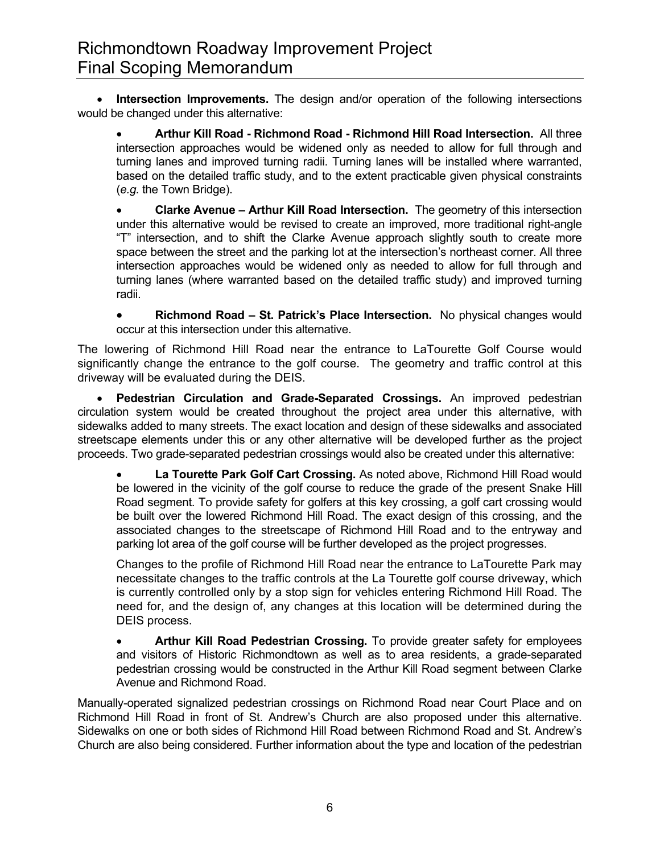• **Intersection Improvements.** The design and/or operation of the following intersections would be changed under this alternative:

• **Arthur Kill Road - Richmond Road - Richmond Hill Road Intersection.** All three intersection approaches would be widened only as needed to allow for full through and turning lanes and improved turning radii. Turning lanes will be installed where warranted, based on the detailed traffic study, and to the extent practicable given physical constraints (*e.g.* the Town Bridge).

• **Clarke Avenue – Arthur Kill Road Intersection.** The geometry of this intersection under this alternative would be revised to create an improved, more traditional right-angle "T" intersection, and to shift the Clarke Avenue approach slightly south to create more space between the street and the parking lot at the intersection's northeast corner. All three intersection approaches would be widened only as needed to allow for full through and turning lanes (where warranted based on the detailed traffic study) and improved turning radii.

• **Richmond Road – St. Patrick's Place Intersection.** No physical changes would occur at this intersection under this alternative.

The lowering of Richmond Hill Road near the entrance to LaTourette Golf Course would significantly change the entrance to the golf course. The geometry and traffic control at this driveway will be evaluated during the DEIS.

• **Pedestrian Circulation and Grade-Separated Crossings.** An improved pedestrian circulation system would be created throughout the project area under this alternative, with sidewalks added to many streets. The exact location and design of these sidewalks and associated streetscape elements under this or any other alternative will be developed further as the project proceeds. Two grade-separated pedestrian crossings would also be created under this alternative:

• **La Tourette Park Golf Cart Crossing.** As noted above, Richmond Hill Road would be lowered in the vicinity of the golf course to reduce the grade of the present Snake Hill Road segment. To provide safety for golfers at this key crossing, a golf cart crossing would be built over the lowered Richmond Hill Road. The exact design of this crossing, and the associated changes to the streetscape of Richmond Hill Road and to the entryway and parking lot area of the golf course will be further developed as the project progresses.

Changes to the profile of Richmond Hill Road near the entrance to LaTourette Park may necessitate changes to the traffic controls at the La Tourette golf course driveway, which is currently controlled only by a stop sign for vehicles entering Richmond Hill Road. The need for, and the design of, any changes at this location will be determined during the DEIS process.

• **Arthur Kill Road Pedestrian Crossing.** To provide greater safety for employees and visitors of Historic Richmondtown as well as to area residents, a grade-separated pedestrian crossing would be constructed in the Arthur Kill Road segment between Clarke Avenue and Richmond Road.

Manually-operated signalized pedestrian crossings on Richmond Road near Court Place and on Richmond Hill Road in front of St. Andrew's Church are also proposed under this alternative. Sidewalks on one or both sides of Richmond Hill Road between Richmond Road and St. Andrew's Church are also being considered. Further information about the type and location of the pedestrian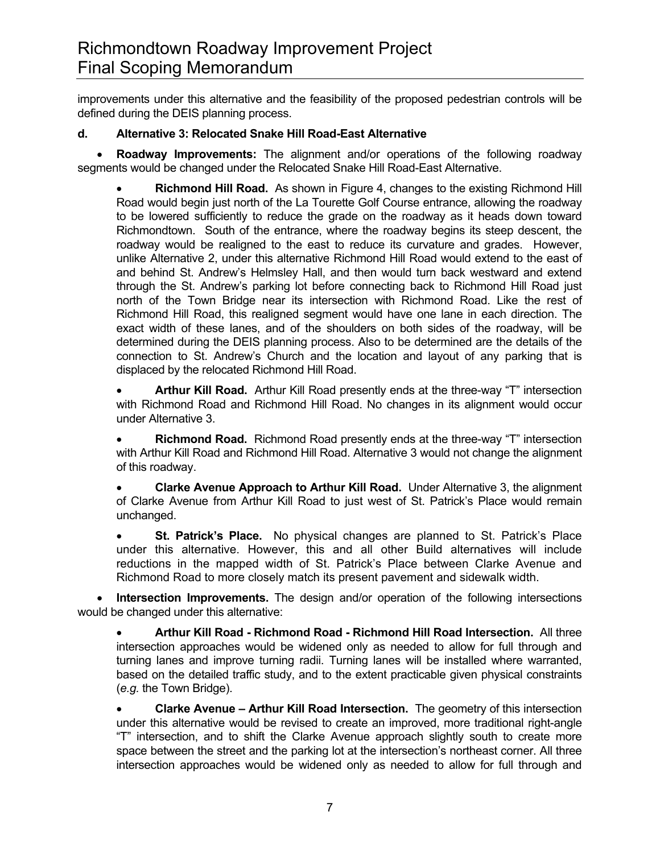improvements under this alternative and the feasibility of the proposed pedestrian controls will be defined during the DEIS planning process.

## **d. Alternative 3: Relocated Snake Hill Road-East Alternative**

• **Roadway Improvements:** The alignment and/or operations of the following roadway segments would be changed under the Relocated Snake Hill Road-East Alternative.

• **Richmond Hill Road.** As shown in Figure 4, changes to the existing Richmond Hill Road would begin just north of the La Tourette Golf Course entrance, allowing the roadway to be lowered sufficiently to reduce the grade on the roadway as it heads down toward Richmondtown. South of the entrance, where the roadway begins its steep descent, the roadway would be realigned to the east to reduce its curvature and grades. However, unlike Alternative 2, under this alternative Richmond Hill Road would extend to the east of and behind St. Andrew's Helmsley Hall, and then would turn back westward and extend through the St. Andrew's parking lot before connecting back to Richmond Hill Road just north of the Town Bridge near its intersection with Richmond Road. Like the rest of Richmond Hill Road, this realigned segment would have one lane in each direction. The exact width of these lanes, and of the shoulders on both sides of the roadway, will be determined during the DEIS planning process. Also to be determined are the details of the connection to St. Andrew's Church and the location and layout of any parking that is displaced by the relocated Richmond Hill Road.

• **Arthur Kill Road.** Arthur Kill Road presently ends at the three-way "T" intersection with Richmond Road and Richmond Hill Road. No changes in its alignment would occur under Alternative 3.

• **Richmond Road.** Richmond Road presently ends at the three-way "T" intersection with Arthur Kill Road and Richmond Hill Road. Alternative 3 would not change the alignment of this roadway.

• **Clarke Avenue Approach to Arthur Kill Road.** Under Alternative 3, the alignment of Clarke Avenue from Arthur Kill Road to just west of St. Patrick's Place would remain unchanged.

• **St. Patrick's Place.** No physical changes are planned to St. Patrick's Place under this alternative. However, this and all other Build alternatives will include reductions in the mapped width of St. Patrick's Place between Clarke Avenue and Richmond Road to more closely match its present pavement and sidewalk width.

• **Intersection Improvements.** The design and/or operation of the following intersections would be changed under this alternative:

• **Arthur Kill Road - Richmond Road - Richmond Hill Road Intersection.** All three intersection approaches would be widened only as needed to allow for full through and turning lanes and improve turning radii. Turning lanes will be installed where warranted, based on the detailed traffic study, and to the extent practicable given physical constraints (*e.g.* the Town Bridge).

• **Clarke Avenue – Arthur Kill Road Intersection.** The geometry of this intersection under this alternative would be revised to create an improved, more traditional right-angle "T" intersection, and to shift the Clarke Avenue approach slightly south to create more space between the street and the parking lot at the intersection's northeast corner. All three intersection approaches would be widened only as needed to allow for full through and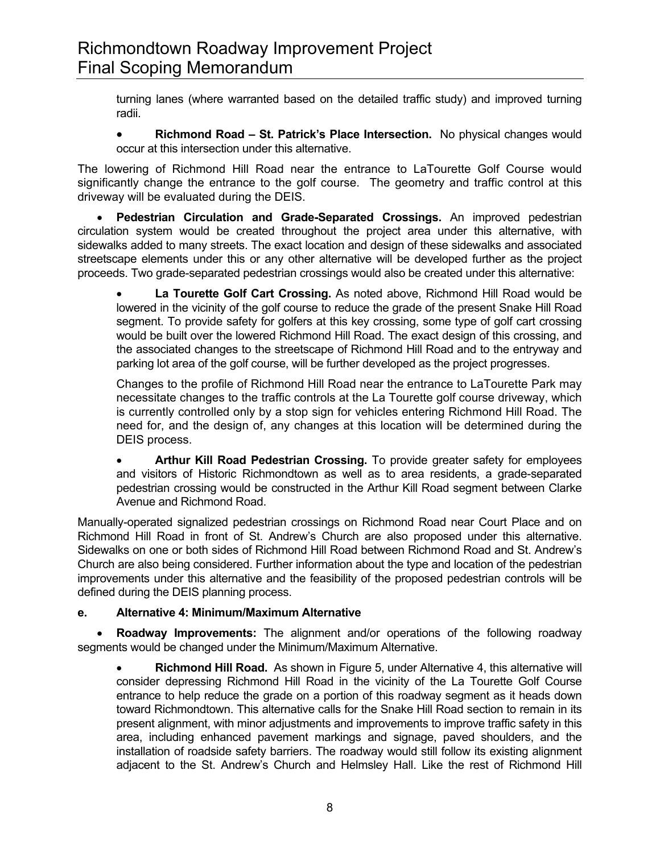turning lanes (where warranted based on the detailed traffic study) and improved turning radii.

• **Richmond Road – St. Patrick's Place Intersection.** No physical changes would occur at this intersection under this alternative.

The lowering of Richmond Hill Road near the entrance to LaTourette Golf Course would significantly change the entrance to the golf course. The geometry and traffic control at this driveway will be evaluated during the DEIS.

• **Pedestrian Circulation and Grade-Separated Crossings.** An improved pedestrian circulation system would be created throughout the project area under this alternative, with sidewalks added to many streets. The exact location and design of these sidewalks and associated streetscape elements under this or any other alternative will be developed further as the project proceeds. Two grade-separated pedestrian crossings would also be created under this alternative:

• **La Tourette Golf Cart Crossing.** As noted above, Richmond Hill Road would be lowered in the vicinity of the golf course to reduce the grade of the present Snake Hill Road segment. To provide safety for golfers at this key crossing, some type of golf cart crossing would be built over the lowered Richmond Hill Road. The exact design of this crossing, and the associated changes to the streetscape of Richmond Hill Road and to the entryway and parking lot area of the golf course, will be further developed as the project progresses.

Changes to the profile of Richmond Hill Road near the entrance to LaTourette Park may necessitate changes to the traffic controls at the La Tourette golf course driveway, which is currently controlled only by a stop sign for vehicles entering Richmond Hill Road. The need for, and the design of, any changes at this location will be determined during the DEIS process.

• **Arthur Kill Road Pedestrian Crossing.** To provide greater safety for employees and visitors of Historic Richmondtown as well as to area residents, a grade-separated pedestrian crossing would be constructed in the Arthur Kill Road segment between Clarke Avenue and Richmond Road.

Manually-operated signalized pedestrian crossings on Richmond Road near Court Place and on Richmond Hill Road in front of St. Andrew's Church are also proposed under this alternative. Sidewalks on one or both sides of Richmond Hill Road between Richmond Road and St. Andrew's Church are also being considered. Further information about the type and location of the pedestrian improvements under this alternative and the feasibility of the proposed pedestrian controls will be defined during the DEIS planning process.

# **e. Alternative 4: Minimum/Maximum Alternative**

• **Roadway Improvements:** The alignment and/or operations of the following roadway segments would be changed under the Minimum/Maximum Alternative.

**Richmond Hill Road.** As shown in Figure 5, under Alternative 4, this alternative will consider depressing Richmond Hill Road in the vicinity of the La Tourette Golf Course entrance to help reduce the grade on a portion of this roadway segment as it heads down toward Richmondtown. This alternative calls for the Snake Hill Road section to remain in its present alignment, with minor adjustments and improvements to improve traffic safety in this area, including enhanced pavement markings and signage, paved shoulders, and the installation of roadside safety barriers. The roadway would still follow its existing alignment adjacent to the St. Andrew's Church and Helmsley Hall. Like the rest of Richmond Hill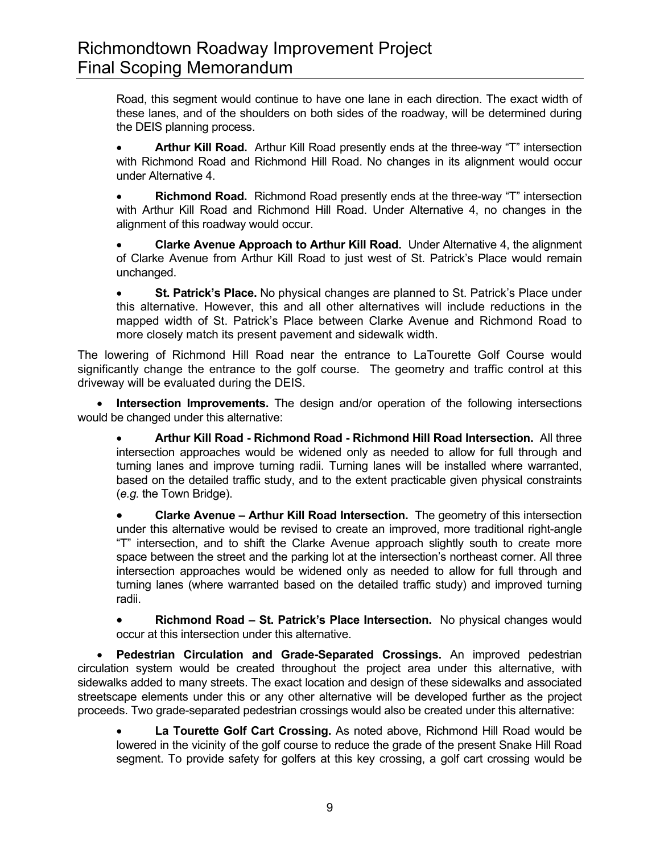Road, this segment would continue to have one lane in each direction. The exact width of these lanes, and of the shoulders on both sides of the roadway, will be determined during the DEIS planning process.

• **Arthur Kill Road.** Arthur Kill Road presently ends at the three-way "T" intersection with Richmond Road and Richmond Hill Road. No changes in its alignment would occur under Alternative 4.

• **Richmond Road.** Richmond Road presently ends at the three-way "T" intersection with Arthur Kill Road and Richmond Hill Road. Under Alternative 4, no changes in the alignment of this roadway would occur.

• **Clarke Avenue Approach to Arthur Kill Road.** Under Alternative 4, the alignment of Clarke Avenue from Arthur Kill Road to just west of St. Patrick's Place would remain unchanged.

• **St. Patrick's Place.** No physical changes are planned to St. Patrick's Place under this alternative. However, this and all other alternatives will include reductions in the mapped width of St. Patrick's Place between Clarke Avenue and Richmond Road to more closely match its present pavement and sidewalk width.

The lowering of Richmond Hill Road near the entrance to LaTourette Golf Course would significantly change the entrance to the golf course. The geometry and traffic control at this driveway will be evaluated during the DEIS.

• **Intersection Improvements.** The design and/or operation of the following intersections would be changed under this alternative:

• **Arthur Kill Road - Richmond Road - Richmond Hill Road Intersection.** All three intersection approaches would be widened only as needed to allow for full through and turning lanes and improve turning radii. Turning lanes will be installed where warranted, based on the detailed traffic study, and to the extent practicable given physical constraints (*e.g.* the Town Bridge).

• **Clarke Avenue – Arthur Kill Road Intersection.** The geometry of this intersection under this alternative would be revised to create an improved, more traditional right-angle "T" intersection, and to shift the Clarke Avenue approach slightly south to create more space between the street and the parking lot at the intersection's northeast corner. All three intersection approaches would be widened only as needed to allow for full through and turning lanes (where warranted based on the detailed traffic study) and improved turning radii.

• **Richmond Road – St. Patrick's Place Intersection.** No physical changes would occur at this intersection under this alternative.

• **Pedestrian Circulation and Grade-Separated Crossings.** An improved pedestrian circulation system would be created throughout the project area under this alternative, with sidewalks added to many streets. The exact location and design of these sidewalks and associated streetscape elements under this or any other alternative will be developed further as the project proceeds. Two grade-separated pedestrian crossings would also be created under this alternative:

• **La Tourette Golf Cart Crossing.** As noted above, Richmond Hill Road would be lowered in the vicinity of the golf course to reduce the grade of the present Snake Hill Road segment. To provide safety for golfers at this key crossing, a golf cart crossing would be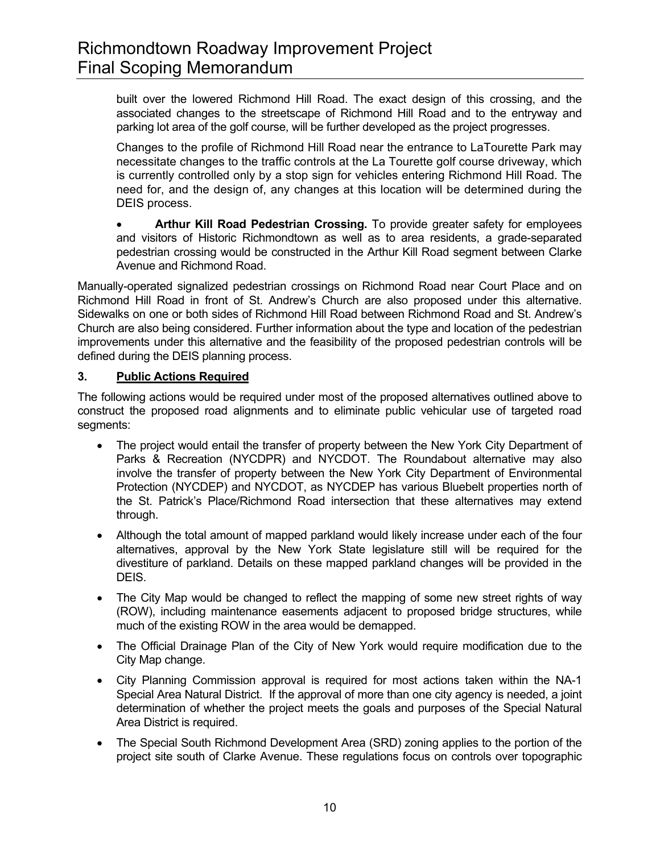built over the lowered Richmond Hill Road. The exact design of this crossing, and the associated changes to the streetscape of Richmond Hill Road and to the entryway and parking lot area of the golf course, will be further developed as the project progresses.

Changes to the profile of Richmond Hill Road near the entrance to LaTourette Park may necessitate changes to the traffic controls at the La Tourette golf course driveway, which is currently controlled only by a stop sign for vehicles entering Richmond Hill Road. The need for, and the design of, any changes at this location will be determined during the DEIS process.

• **Arthur Kill Road Pedestrian Crossing.** To provide greater safety for employees and visitors of Historic Richmondtown as well as to area residents, a grade-separated pedestrian crossing would be constructed in the Arthur Kill Road segment between Clarke Avenue and Richmond Road.

Manually-operated signalized pedestrian crossings on Richmond Road near Court Place and on Richmond Hill Road in front of St. Andrew's Church are also proposed under this alternative. Sidewalks on one or both sides of Richmond Hill Road between Richmond Road and St. Andrew's Church are also being considered. Further information about the type and location of the pedestrian improvements under this alternative and the feasibility of the proposed pedestrian controls will be defined during the DEIS planning process.

## **3. Public Actions Required**

The following actions would be required under most of the proposed alternatives outlined above to construct the proposed road alignments and to eliminate public vehicular use of targeted road segments:

- The project would entail the transfer of property between the New York City Department of Parks & Recreation (NYCDPR) and NYCDOT. The Roundabout alternative may also involve the transfer of property between the New York City Department of Environmental Protection (NYCDEP) and NYCDOT, as NYCDEP has various Bluebelt properties north of the St. Patrick's Place/Richmond Road intersection that these alternatives may extend through.
- Although the total amount of mapped parkland would likely increase under each of the four alternatives, approval by the New York State legislature still will be required for the divestiture of parkland. Details on these mapped parkland changes will be provided in the DEIS.
- The City Map would be changed to reflect the mapping of some new street rights of way (ROW), including maintenance easements adjacent to proposed bridge structures, while much of the existing ROW in the area would be demapped.
- The Official Drainage Plan of the City of New York would require modification due to the City Map change.
- City Planning Commission approval is required for most actions taken within the NA-1 Special Area Natural District. If the approval of more than one city agency is needed, a joint determination of whether the project meets the goals and purposes of the Special Natural Area District is required.
- The Special South Richmond Development Area (SRD) zoning applies to the portion of the project site south of Clarke Avenue. These regulations focus on controls over topographic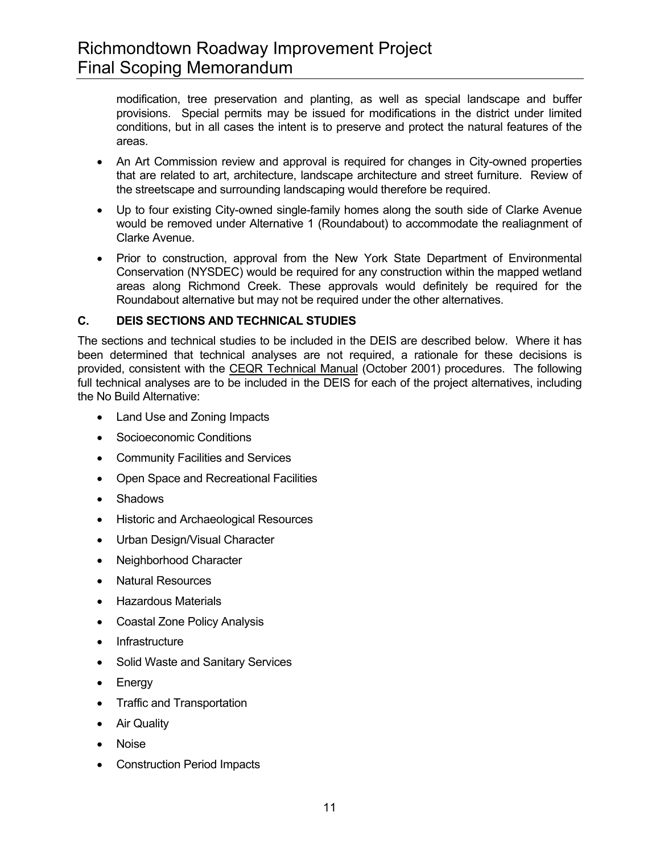modification, tree preservation and planting, as well as special landscape and buffer provisions. Special permits may be issued for modifications in the district under limited conditions, but in all cases the intent is to preserve and protect the natural features of the areas.

- An Art Commission review and approval is required for changes in City-owned properties that are related to art, architecture, landscape architecture and street furniture. Review of the streetscape and surrounding landscaping would therefore be required.
- Up to four existing City-owned single-family homes along the south side of Clarke Avenue would be removed under Alternative 1 (Roundabout) to accommodate the realiagnment of Clarke Avenue.
- Prior to construction, approval from the New York State Department of Environmental Conservation (NYSDEC) would be required for any construction within the mapped wetland areas along Richmond Creek. These approvals would definitely be required for the Roundabout alternative but may not be required under the other alternatives.

## **C. DEIS SECTIONS AND TECHNICAL STUDIES**

The sections and technical studies to be included in the DEIS are described below. Where it has been determined that technical analyses are not required, a rationale for these decisions is provided, consistent with the CEQR Technical Manual (October 2001) procedures. The following full technical analyses are to be included in the DEIS for each of the project alternatives, including the No Build Alternative:

- Land Use and Zoning Impacts
- Socioeconomic Conditions
- Community Facilities and Services
- Open Space and Recreational Facilities
- Shadows
- Historic and Archaeological Resources
- Urban Design/Visual Character
- Neighborhood Character
- Natural Resources
- Hazardous Materials
- Coastal Zone Policy Analysis
- Infrastructure
- Solid Waste and Sanitary Services
- Energy
- Traffic and Transportation
- Air Quality
- Noise
- **Construction Period Impacts**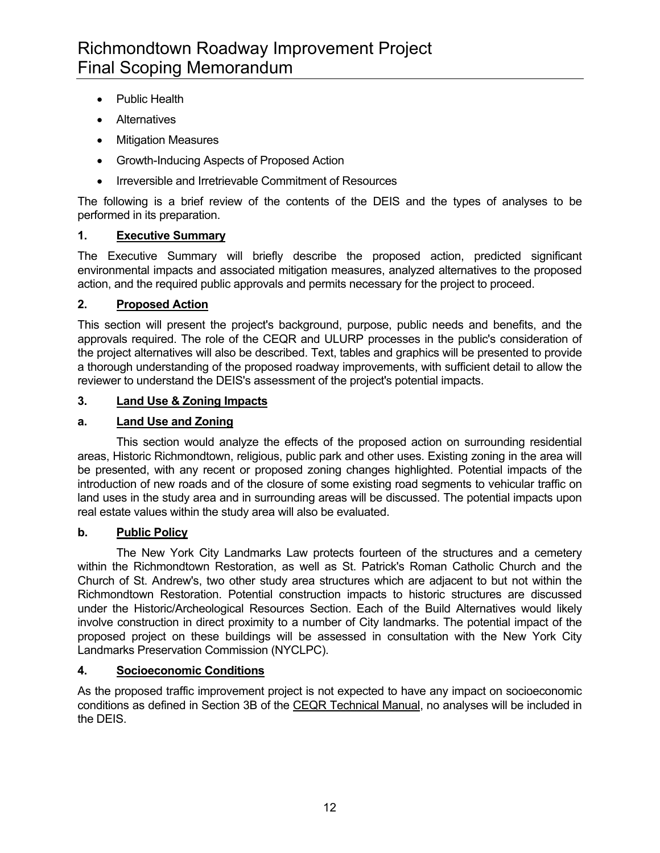- Public Health
- Alternatives
- Mitigation Measures
- Growth-Inducing Aspects of Proposed Action
- Irreversible and Irretrievable Commitment of Resources

The following is a brief review of the contents of the DEIS and the types of analyses to be performed in its preparation.

# **1. Executive Summary**

The Executive Summary will briefly describe the proposed action, predicted significant environmental impacts and associated mitigation measures, analyzed alternatives to the proposed action, and the required public approvals and permits necessary for the project to proceed.

## **2. Proposed Action**

This section will present the project's background, purpose, public needs and benefits, and the approvals required. The role of the CEQR and ULURP processes in the public's consideration of the project alternatives will also be described. Text, tables and graphics will be presented to provide a thorough understanding of the proposed roadway improvements, with sufficient detail to allow the reviewer to understand the DEIS's assessment of the project's potential impacts.

#### **3. Land Use & Zoning Impacts**

## **a. Land Use and Zoning**

 This section would analyze the effects of the proposed action on surrounding residential areas, Historic Richmondtown, religious, public park and other uses. Existing zoning in the area will be presented, with any recent or proposed zoning changes highlighted. Potential impacts of the introduction of new roads and of the closure of some existing road segments to vehicular traffic on land uses in the study area and in surrounding areas will be discussed. The potential impacts upon real estate values within the study area will also be evaluated.

# **b. Public Policy**

 The New York City Landmarks Law protects fourteen of the structures and a cemetery within the Richmondtown Restoration, as well as St. Patrick's Roman Catholic Church and the Church of St. Andrew's, two other study area structures which are adjacent to but not within the Richmondtown Restoration. Potential construction impacts to historic structures are discussed under the Historic/Archeological Resources Section. Each of the Build Alternatives would likely involve construction in direct proximity to a number of City landmarks. The potential impact of the proposed project on these buildings will be assessed in consultation with the New York City Landmarks Preservation Commission (NYCLPC).

# **4. Socioeconomic Conditions**

As the proposed traffic improvement project is not expected to have any impact on socioeconomic conditions as defined in Section 3B of the CEQR Technical Manual, no analyses will be included in the DEIS.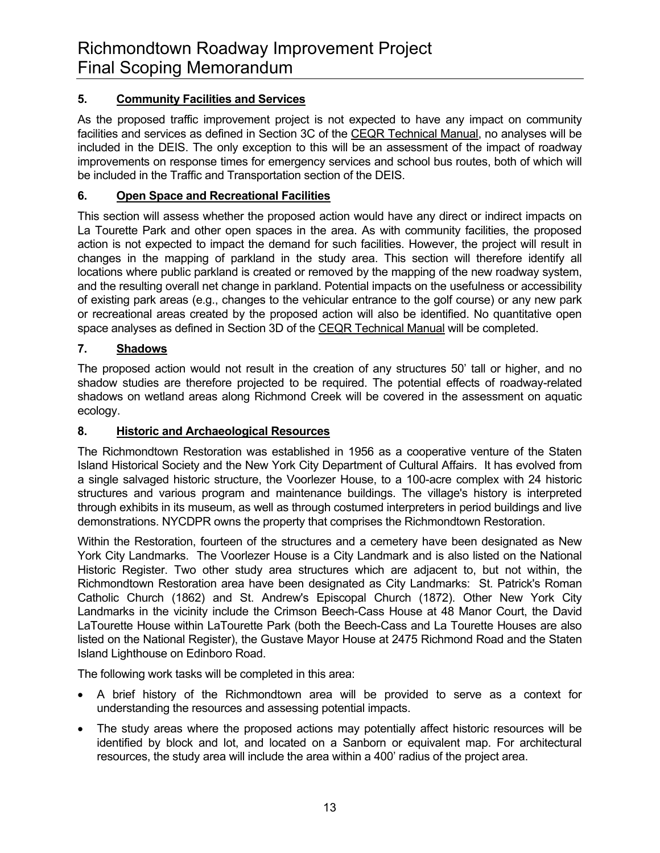# **5. Community Facilities and Services**

As the proposed traffic improvement project is not expected to have any impact on community facilities and services as defined in Section 3C of the CEQR Technical Manual, no analyses will be included in the DEIS. The only exception to this will be an assessment of the impact of roadway improvements on response times for emergency services and school bus routes, both of which will be included in the Traffic and Transportation section of the DEIS.

# **6. Open Space and Recreational Facilities**

This section will assess whether the proposed action would have any direct or indirect impacts on La Tourette Park and other open spaces in the area. As with community facilities, the proposed action is not expected to impact the demand for such facilities. However, the project will result in changes in the mapping of parkland in the study area. This section will therefore identify all locations where public parkland is created or removed by the mapping of the new roadway system, and the resulting overall net change in parkland. Potential impacts on the usefulness or accessibility of existing park areas (e.g., changes to the vehicular entrance to the golf course) or any new park or recreational areas created by the proposed action will also be identified. No quantitative open space analyses as defined in Section 3D of the CEQR Technical Manual will be completed.

# **7. Shadows**

The proposed action would not result in the creation of any structures 50' tall or higher, and no shadow studies are therefore projected to be required. The potential effects of roadway-related shadows on wetland areas along Richmond Creek will be covered in the assessment on aquatic ecology.

# **8. Historic and Archaeological Resources**

The Richmondtown Restoration was established in 1956 as a cooperative venture of the Staten Island Historical Society and the New York City Department of Cultural Affairs. It has evolved from a single salvaged historic structure, the Voorlezer House, to a 100-acre complex with 24 historic structures and various program and maintenance buildings. The village's history is interpreted through exhibits in its museum, as well as through costumed interpreters in period buildings and live demonstrations. NYCDPR owns the property that comprises the Richmondtown Restoration.

Within the Restoration, fourteen of the structures and a cemetery have been designated as New York City Landmarks. The Voorlezer House is a City Landmark and is also listed on the National Historic Register. Two other study area structures which are adjacent to, but not within, the Richmondtown Restoration area have been designated as City Landmarks: St. Patrick's Roman Catholic Church (1862) and St. Andrew's Episcopal Church (1872). Other New York City Landmarks in the vicinity include the Crimson Beech-Cass House at 48 Manor Court, the David LaTourette House within LaTourette Park (both the Beech-Cass and La Tourette Houses are also listed on the National Register), the Gustave Mayor House at 2475 Richmond Road and the Staten Island Lighthouse on Edinboro Road.

The following work tasks will be completed in this area:

- A brief history of the Richmondtown area will be provided to serve as a context for understanding the resources and assessing potential impacts.
- The study areas where the proposed actions may potentially affect historic resources will be identified by block and lot, and located on a Sanborn or equivalent map. For architectural resources, the study area will include the area within a 400' radius of the project area.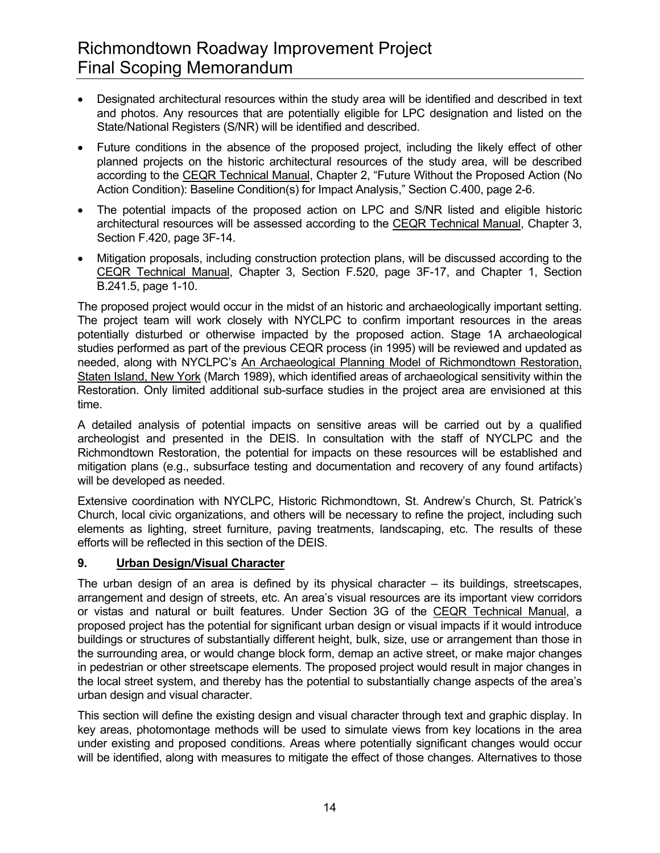- Designated architectural resources within the study area will be identified and described in text and photos. Any resources that are potentially eligible for LPC designation and listed on the State/National Registers (S/NR) will be identified and described.
- Future conditions in the absence of the proposed project, including the likely effect of other planned projects on the historic architectural resources of the study area, will be described according to the CEQR Technical Manual, Chapter 2, "Future Without the Proposed Action (No Action Condition): Baseline Condition(s) for Impact Analysis," Section C.400, page 2-6.
- The potential impacts of the proposed action on LPC and S/NR listed and eligible historic architectural resources will be assessed according to the CEQR Technical Manual, Chapter 3, Section F.420, page 3F-14.
- Mitigation proposals, including construction protection plans, will be discussed according to the CEQR Technical Manual, Chapter 3, Section F.520, page 3F-17, and Chapter 1, Section B.241.5, page 1-10.

The proposed project would occur in the midst of an historic and archaeologically important setting. The project team will work closely with NYCLPC to confirm important resources in the areas potentially disturbed or otherwise impacted by the proposed action. Stage 1A archaeological studies performed as part of the previous CEQR process (in 1995) will be reviewed and updated as needed, along with NYCLPC's An Archaeological Planning Model of Richmondtown Restoration, Staten Island, New York (March 1989), which identified areas of archaeological sensitivity within the Restoration. Only limited additional sub-surface studies in the project area are envisioned at this time.

A detailed analysis of potential impacts on sensitive areas will be carried out by a qualified archeologist and presented in the DEIS. In consultation with the staff of NYCLPC and the Richmondtown Restoration, the potential for impacts on these resources will be established and mitigation plans (e.g., subsurface testing and documentation and recovery of any found artifacts) will be developed as needed.

Extensive coordination with NYCLPC, Historic Richmondtown, St. Andrew's Church, St. Patrick's Church, local civic organizations, and others will be necessary to refine the project, including such elements as lighting, street furniture, paving treatments, landscaping, etc. The results of these efforts will be reflected in this section of the DEIS.

# **9. Urban Design/Visual Character**

The urban design of an area is defined by its physical character – its buildings, streetscapes, arrangement and design of streets, etc. An area's visual resources are its important view corridors or vistas and natural or built features. Under Section 3G of the CEQR Technical Manual, a proposed project has the potential for significant urban design or visual impacts if it would introduce buildings or structures of substantially different height, bulk, size, use or arrangement than those in the surrounding area, or would change block form, demap an active street, or make major changes in pedestrian or other streetscape elements. The proposed project would result in major changes in the local street system, and thereby has the potential to substantially change aspects of the area's urban design and visual character.

This section will define the existing design and visual character through text and graphic display. In key areas, photomontage methods will be used to simulate views from key locations in the area under existing and proposed conditions. Areas where potentially significant changes would occur will be identified, along with measures to mitigate the effect of those changes. Alternatives to those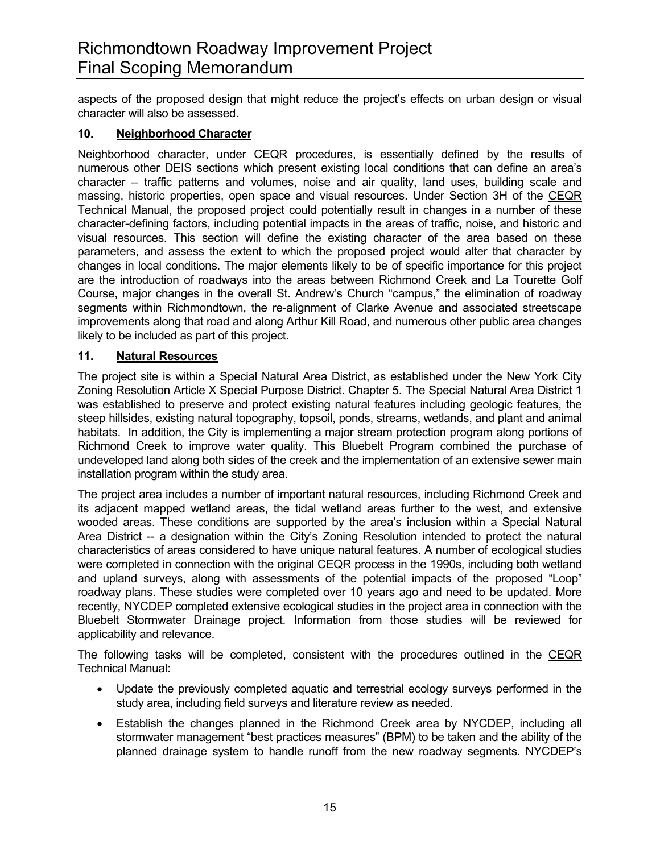aspects of the proposed design that might reduce the project's effects on urban design or visual character will also be assessed.

### **10. Neighborhood Character**

Neighborhood character, under CEQR procedures, is essentially defined by the results of numerous other DEIS sections which present existing local conditions that can define an area's character – traffic patterns and volumes, noise and air quality, land uses, building scale and massing, historic properties, open space and visual resources. Under Section 3H of the CEQR Technical Manual, the proposed project could potentially result in changes in a number of these character-defining factors, including potential impacts in the areas of traffic, noise, and historic and visual resources. This section will define the existing character of the area based on these parameters, and assess the extent to which the proposed project would alter that character by changes in local conditions. The major elements likely to be of specific importance for this project are the introduction of roadways into the areas between Richmond Creek and La Tourette Golf Course, major changes in the overall St. Andrew's Church "campus," the elimination of roadway segments within Richmondtown, the re-alignment of Clarke Avenue and associated streetscape improvements along that road and along Arthur Kill Road, and numerous other public area changes likely to be included as part of this project.

## **11. Natural Resources**

The project site is within a Special Natural Area District, as established under the New York City Zoning Resolution Article X Special Purpose District. Chapter 5. The Special Natural Area District 1 was established to preserve and protect existing natural features including geologic features, the steep hillsides, existing natural topography, topsoil, ponds, streams, wetlands, and plant and animal habitats. In addition, the City is implementing a major stream protection program along portions of Richmond Creek to improve water quality. This Bluebelt Program combined the purchase of undeveloped land along both sides of the creek and the implementation of an extensive sewer main installation program within the study area.

The project area includes a number of important natural resources, including Richmond Creek and its adjacent mapped wetland areas, the tidal wetland areas further to the west, and extensive wooded areas. These conditions are supported by the area's inclusion within a Special Natural Area District -- a designation within the City's Zoning Resolution intended to protect the natural characteristics of areas considered to have unique natural features. A number of ecological studies were completed in connection with the original CEQR process in the 1990s, including both wetland and upland surveys, along with assessments of the potential impacts of the proposed "Loop" roadway plans. These studies were completed over 10 years ago and need to be updated. More recently, NYCDEP completed extensive ecological studies in the project area in connection with the Bluebelt Stormwater Drainage project. Information from those studies will be reviewed for applicability and relevance.

The following tasks will be completed, consistent with the procedures outlined in the CEQR Technical Manual:

- Update the previously completed aquatic and terrestrial ecology surveys performed in the study area, including field surveys and literature review as needed.
- Establish the changes planned in the Richmond Creek area by NYCDEP, including all stormwater management "best practices measures" (BPM) to be taken and the ability of the planned drainage system to handle runoff from the new roadway segments. NYCDEP's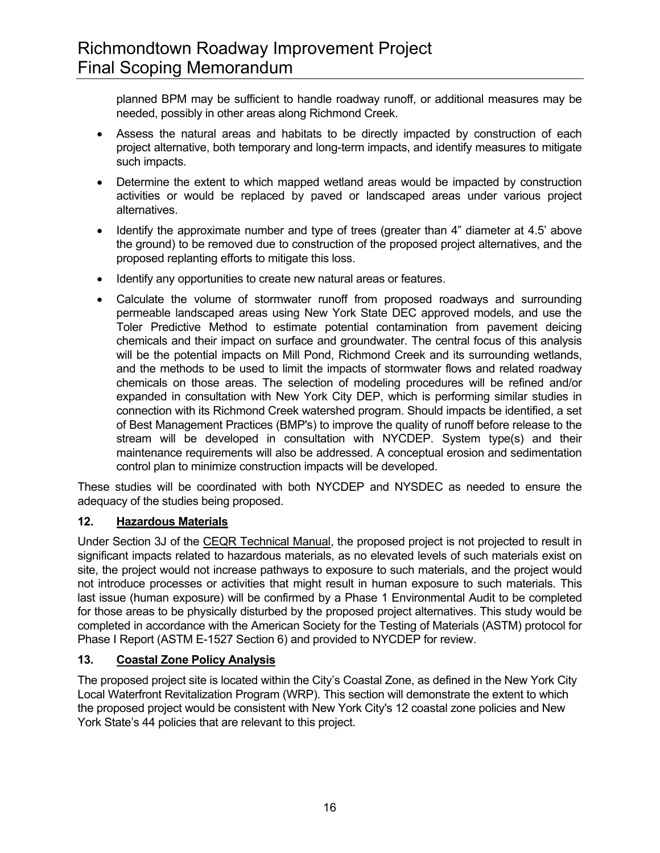planned BPM may be sufficient to handle roadway runoff, or additional measures may be needed, possibly in other areas along Richmond Creek.

- Assess the natural areas and habitats to be directly impacted by construction of each project alternative, both temporary and long-term impacts, and identify measures to mitigate such impacts.
- Determine the extent to which mapped wetland areas would be impacted by construction activities or would be replaced by paved or landscaped areas under various project alternatives.
- Identify the approximate number and type of trees (greater than 4" diameter at 4.5' above the ground) to be removed due to construction of the proposed project alternatives, and the proposed replanting efforts to mitigate this loss.
- Identify any opportunities to create new natural areas or features.
- Calculate the volume of stormwater runoff from proposed roadways and surrounding permeable landscaped areas using New York State DEC approved models, and use the Toler Predictive Method to estimate potential contamination from pavement deicing chemicals and their impact on surface and groundwater. The central focus of this analysis will be the potential impacts on Mill Pond, Richmond Creek and its surrounding wetlands, and the methods to be used to limit the impacts of stormwater flows and related roadway chemicals on those areas. The selection of modeling procedures will be refined and/or expanded in consultation with New York City DEP, which is performing similar studies in connection with its Richmond Creek watershed program. Should impacts be identified, a set of Best Management Practices (BMP's) to improve the quality of runoff before release to the stream will be developed in consultation with NYCDEP. System type(s) and their maintenance requirements will also be addressed. A conceptual erosion and sedimentation control plan to minimize construction impacts will be developed.

These studies will be coordinated with both NYCDEP and NYSDEC as needed to ensure the adequacy of the studies being proposed.

# **12. Hazardous Materials**

Under Section 3J of the CEQR Technical Manual, the proposed project is not projected to result in significant impacts related to hazardous materials, as no elevated levels of such materials exist on site, the project would not increase pathways to exposure to such materials, and the project would not introduce processes or activities that might result in human exposure to such materials. This last issue (human exposure) will be confirmed by a Phase 1 Environmental Audit to be completed for those areas to be physically disturbed by the proposed project alternatives. This study would be completed in accordance with the American Society for the Testing of Materials (ASTM) protocol for Phase I Report (ASTM E-1527 Section 6) and provided to NYCDEP for review.

# **13. Coastal Zone Policy Analysis**

The proposed project site is located within the City's Coastal Zone, as defined in the New York City Local Waterfront Revitalization Program (WRP). This section will demonstrate the extent to which the proposed project would be consistent with New York City's 12 coastal zone policies and New York State's 44 policies that are relevant to this project.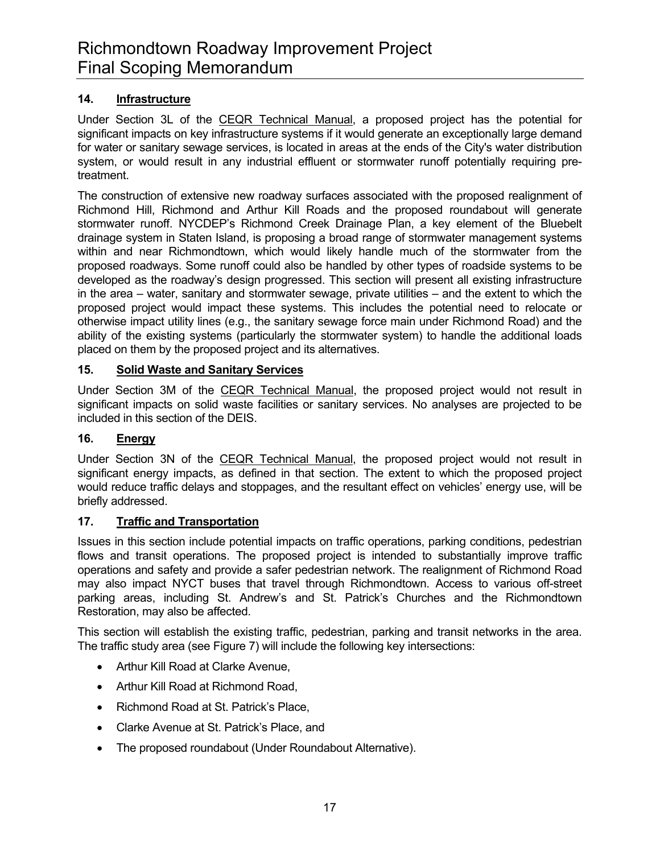# **14. Infrastructure**

Under Section 3L of the CEQR Technical Manual, a proposed project has the potential for significant impacts on key infrastructure systems if it would generate an exceptionally large demand for water or sanitary sewage services, is located in areas at the ends of the City's water distribution system, or would result in any industrial effluent or stormwater runoff potentially requiring pretreatment.

The construction of extensive new roadway surfaces associated with the proposed realignment of Richmond Hill, Richmond and Arthur Kill Roads and the proposed roundabout will generate stormwater runoff. NYCDEP's Richmond Creek Drainage Plan, a key element of the Bluebelt drainage system in Staten Island, is proposing a broad range of stormwater management systems within and near Richmondtown, which would likely handle much of the stormwater from the proposed roadways. Some runoff could also be handled by other types of roadside systems to be developed as the roadway's design progressed. This section will present all existing infrastructure in the area – water, sanitary and stormwater sewage, private utilities – and the extent to which the proposed project would impact these systems. This includes the potential need to relocate or otherwise impact utility lines (e.g., the sanitary sewage force main under Richmond Road) and the ability of the existing systems (particularly the stormwater system) to handle the additional loads placed on them by the proposed project and its alternatives.

#### **15. Solid Waste and Sanitary Services**

Under Section 3M of the CEQR Technical Manual, the proposed project would not result in significant impacts on solid waste facilities or sanitary services. No analyses are projected to be included in this section of the DEIS.

#### **16. Energy**

Under Section 3N of the CEQR Technical Manual, the proposed project would not result in significant energy impacts, as defined in that section. The extent to which the proposed project would reduce traffic delays and stoppages, and the resultant effect on vehicles' energy use, will be briefly addressed.

#### **17. Traffic and Transportation**

Issues in this section include potential impacts on traffic operations, parking conditions, pedestrian flows and transit operations. The proposed project is intended to substantially improve traffic operations and safety and provide a safer pedestrian network. The realignment of Richmond Road may also impact NYCT buses that travel through Richmondtown. Access to various off-street parking areas, including St. Andrew's and St. Patrick's Churches and the Richmondtown Restoration, may also be affected.

This section will establish the existing traffic, pedestrian, parking and transit networks in the area. The traffic study area (see Figure 7) will include the following key intersections:

- Arthur Kill Road at Clarke Avenue,
- Arthur Kill Road at Richmond Road,
- Richmond Road at St. Patrick's Place,
- Clarke Avenue at St. Patrick's Place, and
- The proposed roundabout (Under Roundabout Alternative).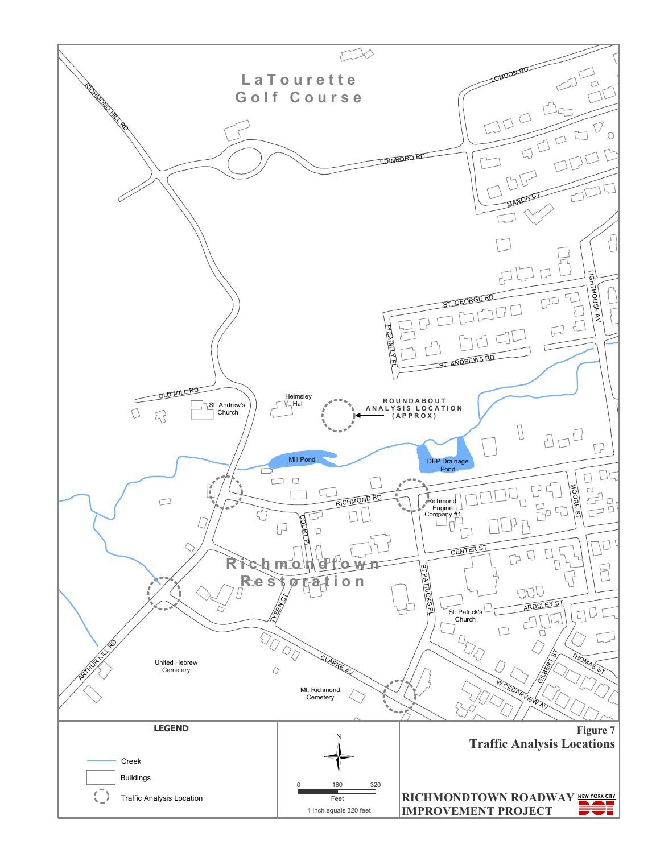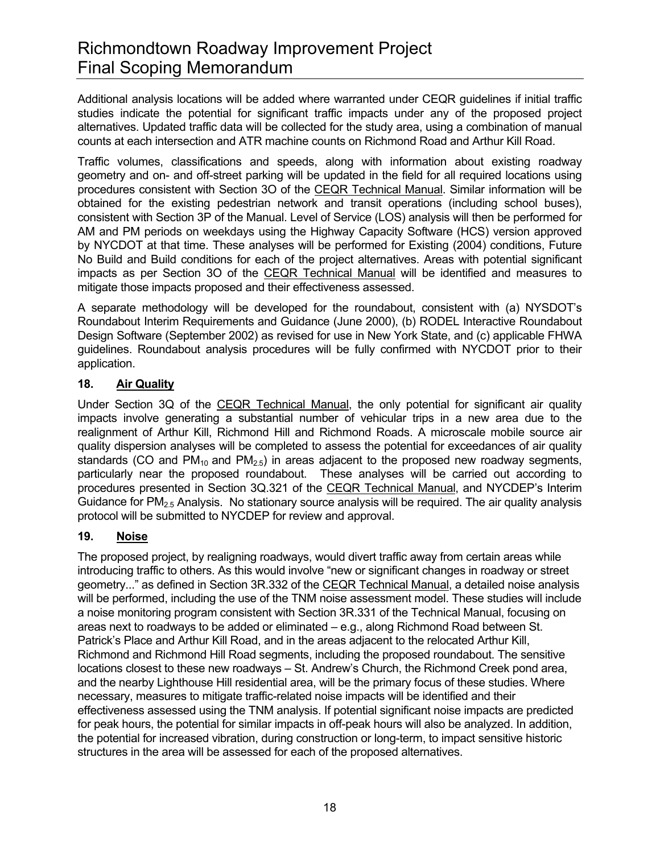Additional analysis locations will be added where warranted under CEQR guidelines if initial traffic studies indicate the potential for significant traffic impacts under any of the proposed project alternatives. Updated traffic data will be collected for the study area, using a combination of manual counts at each intersection and ATR machine counts on Richmond Road and Arthur Kill Road.

Traffic volumes, classifications and speeds, along with information about existing roadway geometry and on- and off-street parking will be updated in the field for all required locations using procedures consistent with Section 3O of the CEQR Technical Manual. Similar information will be obtained for the existing pedestrian network and transit operations (including school buses), consistent with Section 3P of the Manual. Level of Service (LOS) analysis will then be performed for AM and PM periods on weekdays using the Highway Capacity Software (HCS) version approved by NYCDOT at that time. These analyses will be performed for Existing (2004) conditions, Future No Build and Build conditions for each of the project alternatives. Areas with potential significant impacts as per Section 3O of the CEQR Technical Manual will be identified and measures to mitigate those impacts proposed and their effectiveness assessed.

A separate methodology will be developed for the roundabout, consistent with (a) NYSDOT's Roundabout Interim Requirements and Guidance (June 2000), (b) RODEL Interactive Roundabout Design Software (September 2002) as revised for use in New York State, and (c) applicable FHWA guidelines. Roundabout analysis procedures will be fully confirmed with NYCDOT prior to their application.

# **18. Air Quality**

Under Section 3Q of the CEQR Technical Manual, the only potential for significant air quality impacts involve generating a substantial number of vehicular trips in a new area due to the realignment of Arthur Kill, Richmond Hill and Richmond Roads. A microscale mobile source air quality dispersion analyses will be completed to assess the potential for exceedances of air quality standards (CO and  $PM_{10}$  and  $PM_{2.5}$ ) in areas adjacent to the proposed new roadway segments, particularly near the proposed roundabout. These analyses will be carried out according to procedures presented in Section 3Q.321 of the CEQR Technical Manual, and NYCDEP's Interim Guidance for  $PM<sub>2.5</sub>$  Analysis. No stationary source analysis will be required. The air quality analysis protocol will be submitted to NYCDEP for review and approval.

# **19. Noise**

The proposed project, by realigning roadways, would divert traffic away from certain areas while introducing traffic to others. As this would involve "new or significant changes in roadway or street geometry..." as defined in Section 3R.332 of the CEQR Technical Manual, a detailed noise analysis will be performed, including the use of the TNM noise assessment model. These studies will include a noise monitoring program consistent with Section 3R.331 of the Technical Manual, focusing on areas next to roadways to be added or eliminated – e.g., along Richmond Road between St. Patrick's Place and Arthur Kill Road, and in the areas adjacent to the relocated Arthur Kill, Richmond and Richmond Hill Road segments, including the proposed roundabout. The sensitive locations closest to these new roadways – St. Andrew's Church, the Richmond Creek pond area, and the nearby Lighthouse Hill residential area, will be the primary focus of these studies. Where necessary, measures to mitigate traffic-related noise impacts will be identified and their effectiveness assessed using the TNM analysis. If potential significant noise impacts are predicted for peak hours, the potential for similar impacts in off-peak hours will also be analyzed. In addition, the potential for increased vibration, during construction or long-term, to impact sensitive historic structures in the area will be assessed for each of the proposed alternatives.